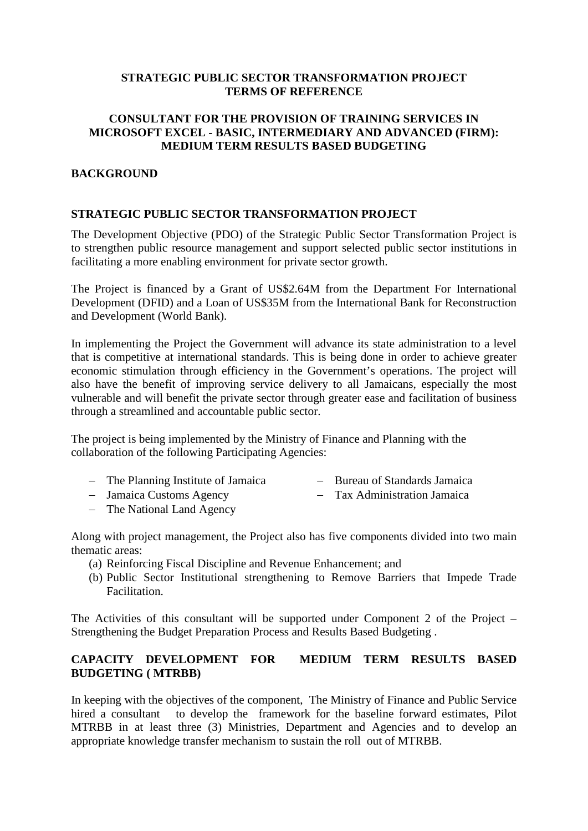#### **STRATEGIC PUBLIC SECTOR TRANSFORMATION PROJECT TERMS OF REFERENCE**

#### **CONSULTANT FOR THE PROVISION OF TRAINING SERVICES IN MICROSOFT EXCEL - BASIC, INTERMEDIARY AND ADVANCED (FIRM): MEDIUM TERM RESULTS BASED BUDGETING**

#### **BACKGROUND**

#### **STRATEGIC PUBLIC SECTOR TRANSFORMATION PROJECT**

The Development Objective (PDO) of the Strategic Public Sector Transformation Project is to strengthen public resource management and support selected public sector institutions in facilitating a more enabling environment for private sector growth.

The Project is financed by a Grant of US\$2.64M from the Department For International Development (DFID) and a Loan of US\$35M from the International Bank for Reconstruction and Development (World Bank).

In implementing the Project the Government will advance its state administration to a level that is competitive at international standards. This is being done in order to achieve greater economic stimulation through efficiency in the Government's operations. The project will also have the benefit of improving service delivery to all Jamaicans, especially the most vulnerable and will benefit the private sector through greater ease and facilitation of business through a streamlined and accountable public sector.

The project is being implemented by the Ministry of Finance and Planning with the collaboration of the following Participating Agencies:

- − The Planning Institute of Jamaica − Bureau of Standards Jamaica
- − Jamaica Customs Agency − Tax Administration Jamaica
- − The National Land Agency
- Along with project management, the Project also has five components divided into two main thematic areas:
	- (a) Reinforcing Fiscal Discipline and Revenue Enhancement; and
	- (b) Public Sector Institutional strengthening to Remove Barriers that Impede Trade Facilitation.

The Activities of this consultant will be supported under Component 2 of the Project – Strengthening the Budget Preparation Process and Results Based Budgeting .

### **CAPACITY DEVELOPMENT FOR MEDIUM TERM RESULTS BASED BUDGETING ( MTRBB)**

In keeping with the objectives of the component, The Ministry of Finance and Public Service hired a consultant to develop the framework for the baseline forward estimates, Pilot MTRBB in at least three (3) Ministries, Department and Agencies and to develop an appropriate knowledge transfer mechanism to sustain the roll out of MTRBB.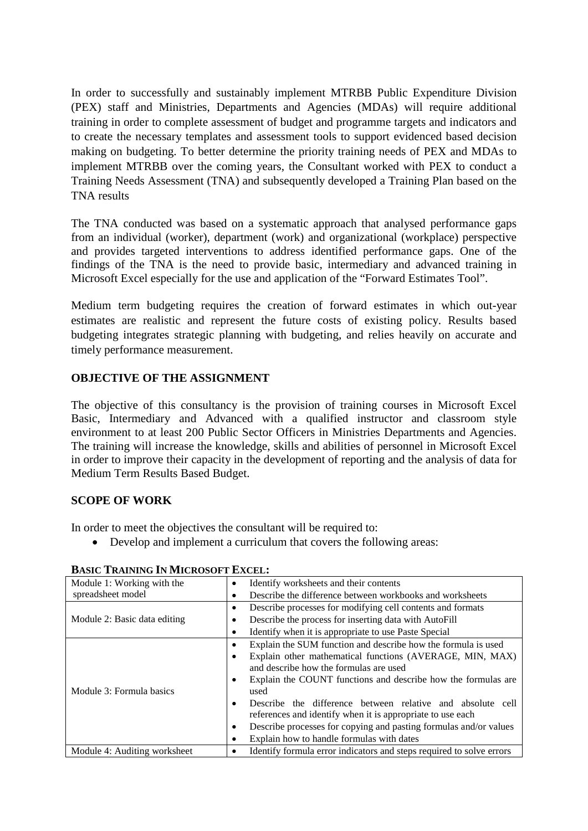In order to successfully and sustainably implement MTRBB Public Expenditure Division (PEX) staff and Ministries, Departments and Agencies (MDAs) will require additional training in order to complete assessment of budget and programme targets and indicators and to create the necessary templates and assessment tools to support evidenced based decision making on budgeting. To better determine the priority training needs of PEX and MDAs to implement MTRBB over the coming years, the Consultant worked with PEX to conduct a Training Needs Assessment (TNA) and subsequently developed a Training Plan based on the TNA results

The TNA conducted was based on a systematic approach that analysed performance gaps from an individual (worker), department (work) and organizational (workplace) perspective and provides targeted interventions to address identified performance gaps. One of the findings of the TNA is the need to provide basic, intermediary and advanced training in Microsoft Excel especially for the use and application of the "Forward Estimates Tool".

Medium term budgeting requires the creation of forward estimates in which out-year estimates are realistic and represent the future costs of existing policy. Results based budgeting integrates strategic planning with budgeting, and relies heavily on accurate and timely performance measurement.

# **OBJECTIVE OF THE ASSIGNMENT**

The objective of this consultancy is the provision of training courses in Microsoft Excel Basic, Intermediary and Advanced with a qualified instructor and classroom style environment to at least 200 Public Sector Officers in Ministries Departments and Agencies. The training will increase the knowledge, skills and abilities of personnel in Microsoft Excel in order to improve their capacity in the development of reporting and the analysis of data for Medium Term Results Based Budget.

#### **SCOPE OF WORK**

In order to meet the objectives the consultant will be required to:

• Develop and implement a curriculum that covers the following areas:

| Module 1: Working with the   | Identify worksheets and their contents<br>٠                               |  |
|------------------------------|---------------------------------------------------------------------------|--|
| spreadsheet model            | Describe the difference between workbooks and worksheets<br>٠             |  |
|                              | Describe processes for modifying cell contents and formats<br>٠           |  |
| Module 2: Basic data editing | Describe the process for inserting data with AutoFill<br>٠                |  |
|                              | Identify when it is appropriate to use Paste Special<br>٠                 |  |
| Module 3: Formula basics     | Explain the SUM function and describe how the formula is used<br>٠        |  |
|                              | Explain other mathematical functions (AVERAGE, MIN, MAX)<br>٠             |  |
|                              | and describe how the formulas are used                                    |  |
|                              | Explain the COUNT functions and describe how the formulas are<br>٠        |  |
|                              | used                                                                      |  |
|                              | Describe the difference between relative and absolute cell<br>$\bullet$   |  |
|                              | references and identify when it is appropriate to use each                |  |
|                              | Describe processes for copying and pasting formulas and/or values<br>٠    |  |
|                              | Explain how to handle formulas with dates<br>٠                            |  |
| Module 4: Auditing worksheet | Identify formula error indicators and steps required to solve errors<br>٠ |  |

#### **BASIC TRAINING IN MICROSOFT EXCEL:**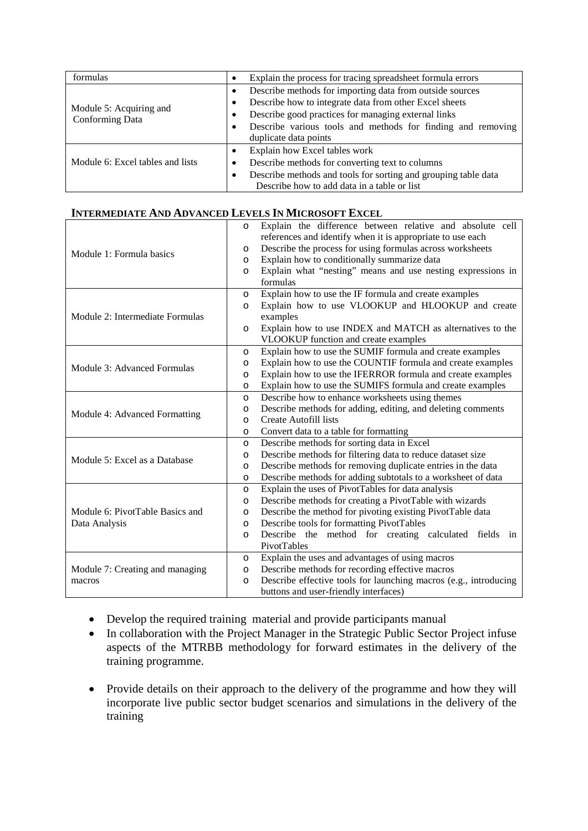| formulas                                   | Explain the process for tracing spreadsheet formula errors<br>$\bullet$ |  |
|--------------------------------------------|-------------------------------------------------------------------------|--|
|                                            | Describe methods for importing data from outside sources<br>$\bullet$   |  |
| Module 5: Acquiring and<br>Conforming Data | Describe how to integrate data from other Excel sheets<br>٠             |  |
|                                            | Describe good practices for managing external links<br>٠                |  |
|                                            | Describe various tools and methods for finding and removing<br>٠        |  |
|                                            | duplicate data points                                                   |  |
|                                            | Explain how Excel tables work<br>$\bullet$                              |  |
| Module 6: Excel tables and lists           | Describe methods for converting text to columns<br>٠                    |  |
|                                            | Describe methods and tools for sorting and grouping table data<br>٠     |  |
|                                            | Describe how to add data in a table or list                             |  |

#### **INTERMEDIATE AND ADVANCED LEVELS IN MICROSOFT EXCEL**

| Module 1: Formula basics        | Explain the difference between relative and absolute cell<br>O              |  |  |
|---------------------------------|-----------------------------------------------------------------------------|--|--|
|                                 | references and identify when it is appropriate to use each                  |  |  |
|                                 | Describe the process for using formulas across worksheets<br>$\circ$        |  |  |
|                                 | Explain how to conditionally summarize data<br>$\circ$                      |  |  |
|                                 | Explain what "nesting" means and use nesting expressions in                 |  |  |
|                                 | formulas                                                                    |  |  |
|                                 | Explain how to use the IF formula and create examples<br>$\circ$            |  |  |
|                                 | Explain how to use VLOOKUP and HLOOKUP and create<br>$\circ$                |  |  |
| Module 2: Intermediate Formulas | examples                                                                    |  |  |
|                                 | Explain how to use INDEX and MATCH as alternatives to the<br>$\circ$        |  |  |
|                                 | VLOOKUP function and create examples                                        |  |  |
|                                 | Explain how to use the SUMIF formula and create examples<br>$\circ$         |  |  |
| Module 3: Advanced Formulas     | Explain how to use the COUNTIF formula and create examples<br>$\circ$       |  |  |
|                                 | Explain how to use the IFERROR formula and create examples<br>O             |  |  |
|                                 | Explain how to use the SUMIFS formula and create examples<br>$\circ$        |  |  |
|                                 | Describe how to enhance worksheets using themes<br>$\circ$                  |  |  |
|                                 | Describe methods for adding, editing, and deleting comments<br>$\circ$      |  |  |
| Module 4: Advanced Formatting   | Create Autofill lists<br>$\circ$                                            |  |  |
|                                 | Convert data to a table for formatting<br>$\circ$                           |  |  |
|                                 | Describe methods for sorting data in Excel<br>$\circ$                       |  |  |
| Module 5: Excel as a Database   | Describe methods for filtering data to reduce dataset size<br>O             |  |  |
|                                 | Describe methods for removing duplicate entries in the data<br>$\circ$      |  |  |
|                                 | Describe methods for adding subtotals to a worksheet of data<br>$\circ$     |  |  |
|                                 | Explain the uses of PivotTables for data analysis<br>O                      |  |  |
|                                 | Describe methods for creating a PivotTable with wizards<br>O                |  |  |
| Module 6: PivotTable Basics and | Describe the method for pivoting existing PivotTable data<br>$\circ$        |  |  |
| Data Analysis                   | Describe tools for formatting PivotTables<br>$\circ$                        |  |  |
|                                 | Describe the method for creating calculated fields<br>in<br>$\circ$         |  |  |
|                                 | PivotTables                                                                 |  |  |
|                                 | Explain the uses and advantages of using macros<br>$\circ$                  |  |  |
| Module 7: Creating and managing | Describe methods for recording effective macros<br>$\circ$                  |  |  |
| macros                          | Describe effective tools for launching macros (e.g., introducing<br>$\circ$ |  |  |
|                                 | buttons and user-friendly interfaces)                                       |  |  |

- Develop the required training material and provide participants manual
- In collaboration with the Project Manager in the Strategic Public Sector Project infuse aspects of the MTRBB methodology for forward estimates in the delivery of the training programme.
- Provide details on their approach to the delivery of the programme and how they will incorporate live public sector budget scenarios and simulations in the delivery of the training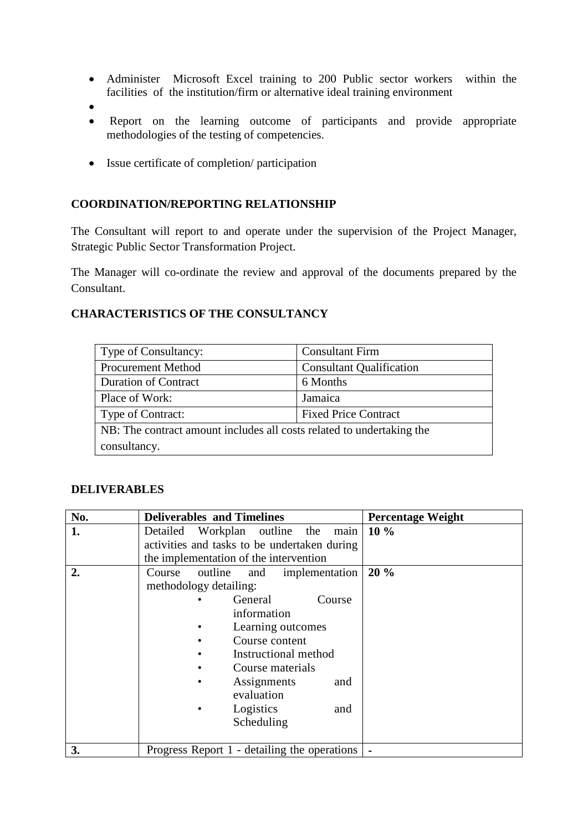- Administer Microsoft Excel training to 200 Public sector workers within the facilities of the institution/firm or alternative ideal training environment
- •
- Report on the learning outcome of participants and provide appropriate methodologies of the testing of competencies.
- Issue certificate of completion/ participation

#### **COORDINATION/REPORTING RELATIONSHIP**

The Consultant will report to and operate under the supervision of the Project Manager, Strategic Public Sector Transformation Project.

The Manager will co-ordinate the review and approval of the documents prepared by the Consultant.

#### **CHARACTERISTICS OF THE CONSULTANCY**

| Type of Consultancy:                                                  | <b>Consultant Firm</b>          |  |  |
|-----------------------------------------------------------------------|---------------------------------|--|--|
| <b>Procurement Method</b>                                             | <b>Consultant Qualification</b> |  |  |
| <b>Duration of Contract</b>                                           | 6 Months                        |  |  |
| Place of Work:                                                        | Jamaica                         |  |  |
| Type of Contract:                                                     | <b>Fixed Price Contract</b>     |  |  |
| NB: The contract amount includes all costs related to undertaking the |                                 |  |  |
| consultancy.                                                          |                                 |  |  |

#### **DELIVERABLES**

| No. | <b>Deliverables and Timelines</b><br><b>Percentage Weight</b> |  |
|-----|---------------------------------------------------------------|--|
| 1.  | $10\%$<br>Detailed Workplan outline the<br>main               |  |
|     | activities and tasks to be undertaken during                  |  |
|     | the implementation of the intervention                        |  |
| 2.  | 20 %<br>Course outline<br>and implementation                  |  |
|     | methodology detailing:                                        |  |
|     | General<br>Course                                             |  |
|     | information                                                   |  |
|     | Learning outcomes                                             |  |
|     | Course content                                                |  |
|     | Instructional method                                          |  |
|     | Course materials                                              |  |
|     | Assignments<br>and                                            |  |
|     | evaluation                                                    |  |
|     | Logistics<br>and                                              |  |
|     | Scheduling                                                    |  |
|     |                                                               |  |
| 3.  | Progress Report 1 - detailing the operations                  |  |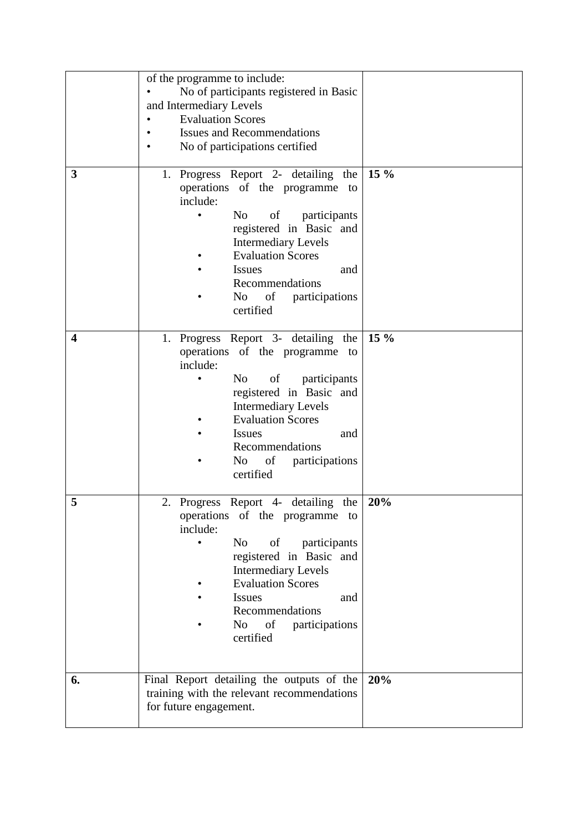|    | of the programme to include:<br>No of participants registered in Basic<br>and Intermediary Levels<br><b>Evaluation Scores</b><br><b>Issues and Recommendations</b><br>No of participations certified                                                                                                   |        |
|----|--------------------------------------------------------------------------------------------------------------------------------------------------------------------------------------------------------------------------------------------------------------------------------------------------------|--------|
| 3  | 1. Progress Report 2- detailing the<br>operations of the programme to<br>include:<br>No<br>of<br>participants<br>$\bullet$<br>registered in Basic and<br><b>Intermediary Levels</b><br><b>Evaluation Scores</b><br><b>Issues</b><br>and<br>Recommendations<br>of<br>participations<br>No<br>certified  | $15\%$ |
| 4  | 1. Progress Report 3- detailing the<br>operations of the programme to<br>include:<br>of<br>N <sub>o</sub><br>participants<br>registered in Basic and<br><b>Intermediary Levels</b><br><b>Evaluation Scores</b><br><b>Issues</b><br>and<br>Recommendations<br>No r<br>of<br>participations<br>certified | $15\%$ |
| 5  | 2. Progress Report 4- detailing the<br>operations of the programme to<br>include:<br>N <sub>o</sub><br>of<br>participants<br>registered in Basic and<br><b>Intermediary Levels</b><br><b>Evaluation Scores</b><br><b>Issues</b><br>and<br>Recommendations<br>of<br>No r<br>participations<br>certified | 20%    |
| 6. | Final Report detailing the outputs of the<br>training with the relevant recommendations<br>for future engagement.                                                                                                                                                                                      | 20%    |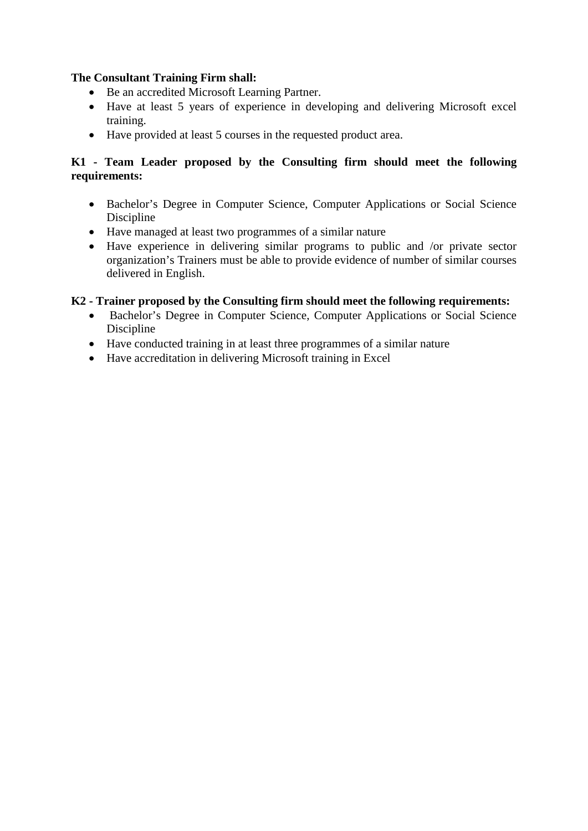### **The Consultant Training Firm shall:**

- Be an accredited Microsoft Learning Partner.
- Have at least 5 years of experience in developing and delivering Microsoft excel training.
- Have provided at least 5 courses in the requested product area.

### **K1 - Team Leader proposed by the Consulting firm should meet the following requirements:**

- Bachelor's Degree in Computer Science, Computer Applications or Social Science Discipline
- Have managed at least two programmes of a similar nature
- Have experience in delivering similar programs to public and /or private sector organization's Trainers must be able to provide evidence of number of similar courses delivered in English.

## **K2 - Trainer proposed by the Consulting firm should meet the following requirements:**

- Bachelor's Degree in Computer Science, Computer Applications or Social Science Discipline
- Have conducted training in at least three programmes of a similar nature
- Have accreditation in delivering Microsoft training in Excel